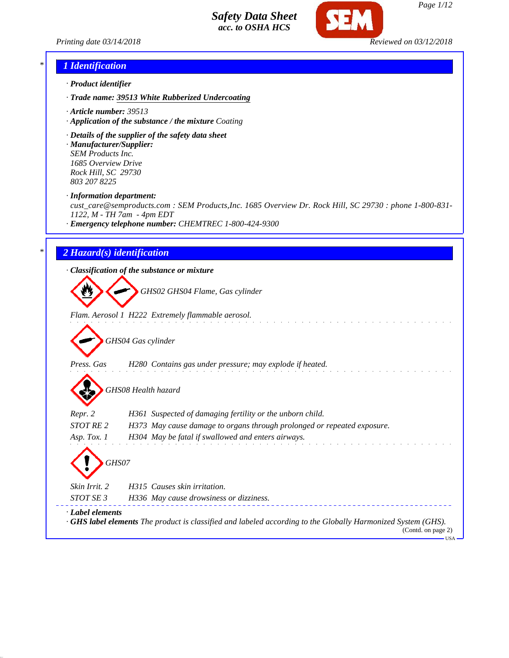



### *\* 1 Identification*

- *· Product identifier*
- *· Trade name: 39513 White Rubberized Undercoating*
- *· Article number: 39513*
- *· Application of the substance / the mixture Coating*
- *· Details of the supplier of the safety data sheet*
- *· Manufacturer/Supplier: SEM Products Inc. 1685 Overview Drive Rock Hill, SC 29730 803 207 8225*
- *· Information department:*

*cust\_care@semproducts.com : SEM Products,Inc. 1685 Overview Dr. Rock Hill, SC 29730 : phone 1-800-831- 1122, M - TH 7am - 4pm EDT*

*· Emergency telephone number: CHEMTREC 1-800-424-9300*

# *\* 2 Hazard(s) identification*

*· Classification of the substance or mixture*

*GHS02 GHS04 Flame, Gas cylinder*

*Flam. Aerosol 1 H222 Extremely flammable aerosol.*

*GHS04 Gas cylinder*

*Press. Gas H280 Contains gas under pressure; may explode if heated.*

*GHS08 Health hazard*

*Repr. 2 H361 Suspected of damaging fertility or the unborn child.*

*STOT RE 2 H373 May cause damage to organs through prolonged or repeated exposure.*

*Asp. Tox. 1 H304 May be fatal if swallowed and enters airways.*

*GHS07 Skin Irrit. 2 H315 Causes skin irritation. STOT SE 3 H336 May cause drowsiness or dizziness. · Label elements · GHS label elements The product is classified and labeled according to the Globally Harmonized System (GHS).*

> (Contd. on page 2) USA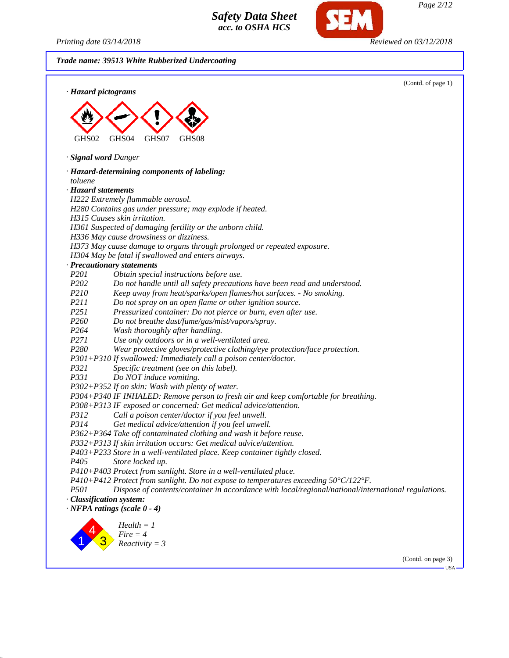*Printing date 03/14/2018 Reviewed on 03/12/2018*

SEM

|                          |                                                                                                                               | (Contd. of page 1) |
|--------------------------|-------------------------------------------------------------------------------------------------------------------------------|--------------------|
|                          | · Hazard pictograms                                                                                                           |                    |
|                          |                                                                                                                               |                    |
|                          |                                                                                                                               |                    |
|                          |                                                                                                                               |                    |
| GHS02                    | GHS04<br>GHS07<br>GHS08                                                                                                       |                    |
|                          | · Signal word Danger                                                                                                          |                    |
|                          | · Hazard-determining components of labeling:                                                                                  |                    |
| toluene                  |                                                                                                                               |                    |
| · Hazard statements      |                                                                                                                               |                    |
|                          | H222 Extremely flammable aerosol.                                                                                             |                    |
|                          | H280 Contains gas under pressure; may explode if heated.                                                                      |                    |
|                          | H315 Causes skin irritation.                                                                                                  |                    |
|                          | H361 Suspected of damaging fertility or the unborn child.                                                                     |                    |
|                          | H336 May cause drowsiness or dizziness.                                                                                       |                    |
|                          | H373 May cause damage to organs through prolonged or repeated exposure.                                                       |                    |
|                          | H304 May be fatal if swallowed and enters airways.                                                                            |                    |
|                          | · Precautionary statements                                                                                                    |                    |
| P201                     | Obtain special instructions before use.                                                                                       |                    |
| P202                     | Do not handle until all safety precautions have been read and understood.                                                     |                    |
| P210                     | Keep away from heat/sparks/open flames/hot surfaces. - No smoking.                                                            |                    |
| P211                     | Do not spray on an open flame or other ignition source.                                                                       |                    |
| P251<br>P <sub>260</sub> | Pressurized container: Do not pierce or burn, even after use.                                                                 |                    |
| P264                     | Do not breathe dust/fume/gas/mist/vapors/spray.                                                                               |                    |
| P271                     | Wash thoroughly after handling.                                                                                               |                    |
| P280                     | Use only outdoors or in a well-ventilated area.<br>Wear protective gloves/protective clothing/eye protection/face protection. |                    |
|                          | P301+P310 If swallowed: Immediately call a poison center/doctor.                                                              |                    |
| P321                     | Specific treatment (see on this label).                                                                                       |                    |
| P331                     | Do NOT induce vomiting.                                                                                                       |                    |
|                          | P302+P352 If on skin: Wash with plenty of water.                                                                              |                    |
|                          | P304+P340 IF INHALED: Remove person to fresh air and keep comfortable for breathing.                                          |                    |
|                          | P308+P313 IF exposed or concerned: Get medical advice/attention.                                                              |                    |
| P312                     | Call a poison center/doctor if you feel unwell.                                                                               |                    |
| P314                     | Get medical advice/attention if you feel unwell.                                                                              |                    |
|                          | P362+P364 Take off contaminated clothing and wash it before reuse.                                                            |                    |
|                          | P332+P313 If skin irritation occurs: Get medical advice/attention.                                                            |                    |
|                          | P403+P233 Store in a well-ventilated place. Keep container tightly closed.                                                    |                    |
| P <sub>405</sub>         | Store locked up.                                                                                                              |                    |
|                          | P410+P403 Protect from sunlight. Store in a well-ventilated place.                                                            |                    |
|                          | P410+P412 Protect from sunlight. Do not expose to temperatures exceeding $50^{\circ}C/122^{\circ}F$ .                         |                    |
| <i>P501</i>              | Dispose of contents/container in accordance with local/regional/national/international regulations.                           |                    |
|                          | · Classification system:                                                                                                      |                    |
|                          | $\cdot$ NFPA ratings (scale $0 - 4$ )                                                                                         |                    |
|                          |                                                                                                                               |                    |
|                          | $Health = 1$<br>$Fire = 4$                                                                                                    |                    |
|                          | $Reactivity = 3$                                                                                                              |                    |
|                          |                                                                                                                               |                    |
|                          |                                                                                                                               | (Contd. on page 3) |

*Page 2/12*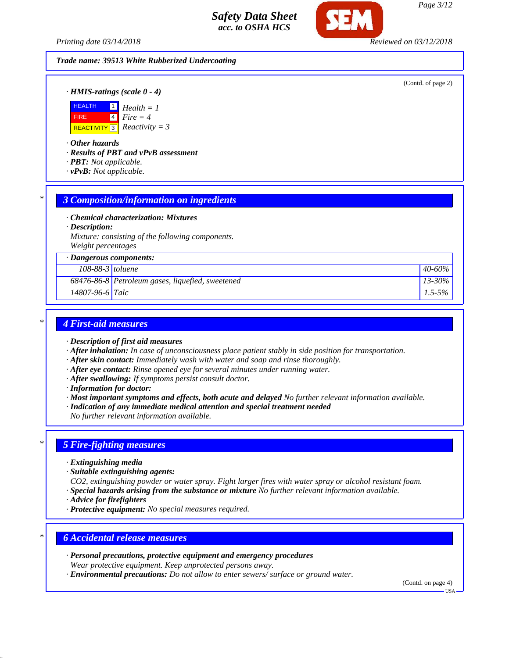*Printing date 03/14/2018 Reviewed on 03/12/2018*

#### *Trade name: 39513 White Rubberized Undercoating*

(Contd. of page 2)

*· HMIS-ratings (scale 0 - 4)*



*· Other hazards*

*· Results of PBT and vPvB assessment*

- *· PBT: Not applicable.*
- *· vPvB: Not applicable.*

#### *\* 3 Composition/information on ingredients*

*· Chemical characterization: Mixtures*

*· Description:*

*Mixture: consisting of the following components. Weight percentages*

*· Dangerous components:*

| 108-88-3 toluene      |                                                    | $40 - 60\%$ |  |
|-----------------------|----------------------------------------------------|-------------|--|
|                       | $68476-86-8$ Petroleum gases, liquefied, sweetened | $13 - 30\%$ |  |
| $14807 - 96 - 6$ Talc |                                                    | $1.5 - 5\%$ |  |

# *\* 4 First-aid measures*

- *· Description of first aid measures*
- *· After inhalation: In case of unconsciousness place patient stably in side position for transportation.*
- *· After skin contact: Immediately wash with water and soap and rinse thoroughly.*
- *· After eye contact: Rinse opened eye for several minutes under running water.*
- *· After swallowing: If symptoms persist consult doctor.*
- *· Information for doctor:*
- *· Most important symptoms and effects, both acute and delayed No further relevant information available.*
- *· Indication of any immediate medical attention and special treatment needed*

*No further relevant information available.*

#### *\* 5 Fire-fighting measures*

- *· Extinguishing media*
- *· Suitable extinguishing agents:*

*CO2, extinguishing powder or water spray. Fight larger fires with water spray or alcohol resistant foam. · Special hazards arising from the substance or mixture No further relevant information available.*

- *· Advice for firefighters*
- *· Protective equipment: No special measures required.*

# *\* 6 Accidental release measures*

- *· Personal precautions, protective equipment and emergency procedures Wear protective equipment. Keep unprotected persons away.*
- *· Environmental precautions: Do not allow to enter sewers/ surface or ground water.*

(Contd. on page 4)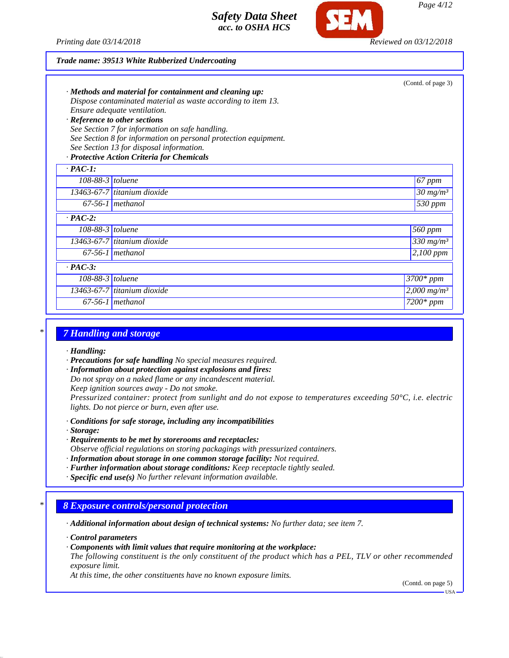

#### *Trade name: 39513 White Rubberized Undercoating*

| Ensure adequate ventilation.<br>· Reference to other sections<br>See Section 13 for disposal information.<br>· Protective Action Criteria for Chemicals | $\cdot$ Methods and material for containment and cleaning up:<br>Dispose contaminated material as waste according to item 13.<br>See Section 7 for information on safe handling.<br>See Section 8 for information on personal protection equipment. | (Contd. of page 3)        |
|---------------------------------------------------------------------------------------------------------------------------------------------------------|-----------------------------------------------------------------------------------------------------------------------------------------------------------------------------------------------------------------------------------------------------|---------------------------|
| $\cdot$ PAC-1:                                                                                                                                          |                                                                                                                                                                                                                                                     |                           |
| $108-88-3$ toluene                                                                                                                                      |                                                                                                                                                                                                                                                     | 67 ppm                    |
| 13463-67-7 titanium dioxide                                                                                                                             |                                                                                                                                                                                                                                                     | $30 \ mg/m3$              |
| $67-56-1$ methanol                                                                                                                                      |                                                                                                                                                                                                                                                     | 530 ppm                   |
| $\cdot$ PAC-2:                                                                                                                                          |                                                                                                                                                                                                                                                     |                           |
| $108-88-3$ toluene                                                                                                                                      |                                                                                                                                                                                                                                                     | 560 ppm                   |
| 13463-67-7 titanium dioxide                                                                                                                             |                                                                                                                                                                                                                                                     | 330 $mg/m^3$              |
| $67-56-1$ methanol                                                                                                                                      |                                                                                                                                                                                                                                                     | 2,100 ppm                 |
| $\cdot$ PAC-3:                                                                                                                                          |                                                                                                                                                                                                                                                     |                           |
| $108-88-3$ toluene                                                                                                                                      |                                                                                                                                                                                                                                                     | 3700* ppm                 |
| 13463-67-7 titanium dioxide                                                                                                                             |                                                                                                                                                                                                                                                     | $2,000$ mg/m <sup>3</sup> |
| $67-56-1$ methanol                                                                                                                                      |                                                                                                                                                                                                                                                     | $7200*$ ppm               |

#### *\* 7 Handling and storage*

*· Handling:*

*· Precautions for safe handling No special measures required.*

*· Information about protection against explosions and fires:*

*Do not spray on a naked flame or any incandescent material.*

*Keep ignition sources away - Do not smoke.*

*Pressurized container: protect from sunlight and do not expose to temperatures exceeding 50°C, i.e. electric lights. Do not pierce or burn, even after use.*

*· Conditions for safe storage, including any incompatibilities*

*· Storage:*

- *· Requirements to be met by storerooms and receptacles:*
- *Observe official regulations on storing packagings with pressurized containers.*
- *· Information about storage in one common storage facility: Not required.*
- *· Further information about storage conditions: Keep receptacle tightly sealed.*

*· Specific end use(s) No further relevant information available.*

#### *\* 8 Exposure controls/personal protection*

*· Additional information about design of technical systems: No further data; see item 7.*

*· Control parameters*

*· Components with limit values that require monitoring at the workplace:*

*The following constituent is the only constituent of the product which has a PEL, TLV or other recommended exposure limit.*

*At this time, the other constituents have no known exposure limits.*

(Contd. on page 5)

USA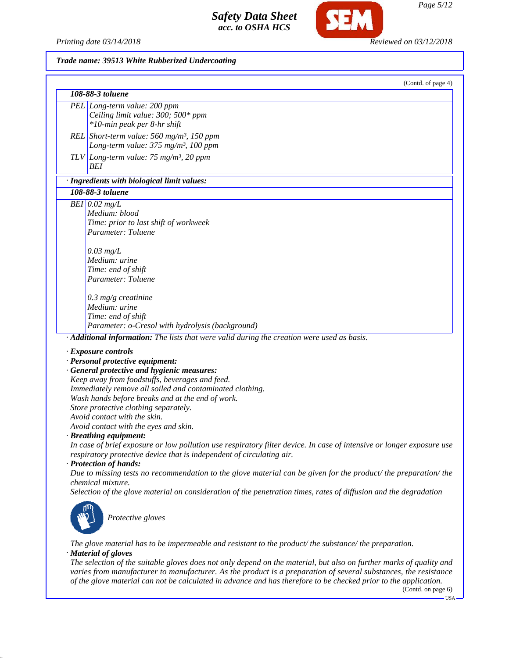*Printing date 03/14/2018 Reviewed on 03/12/2018*

Œ

### *Trade name: 39513 White Rubberized Undercoating*

| (Contd. of page 4)                                                                                                       |
|--------------------------------------------------------------------------------------------------------------------------|
| 108-88-3 toluene                                                                                                         |
| PEL Long-term value: 200 ppm<br>Ceiling limit value: 300; 500* ppm<br>*10-min peak per 8-hr shift                        |
| REL Short-term value: 560 mg/m <sup>3</sup> , 150 ppm<br>Long-term value: 375 mg/m <sup>3</sup> , 100 ppm                |
| TLV Long-term value: $75 \text{ mg/m}^3$ , 20 ppm<br>BEI                                                                 |
| · Ingredients with biological limit values:                                                                              |
| 108-88-3 toluene                                                                                                         |
| BEI $0.02$ mg/L                                                                                                          |
| Medium: blood                                                                                                            |
| Time: prior to last shift of workweek                                                                                    |
| Parameter: Toluene                                                                                                       |
|                                                                                                                          |
| $0.03$ mg/L                                                                                                              |
| Medium: urine                                                                                                            |
| Time: end of shift                                                                                                       |
| Parameter: Toluene                                                                                                       |
|                                                                                                                          |
| $0.3$ mg/g creatinine                                                                                                    |
| Medium: urine                                                                                                            |
| Time: end of shift                                                                                                       |
| Parameter: o-Cresol with hydrolysis (background)                                                                         |
| $\overline{\textbf{A}}$ <b>Additional information:</b> The lists that were valid during the creation were used as basis. |
|                                                                                                                          |
| · Exposure controls                                                                                                      |
| · Personal protective equipment:                                                                                         |
| · General protective and hygienic measures:                                                                              |
| Keep away from foodstuffs, beverages and feed.                                                                           |
| Immediately remove all soiled and contaminated clothing.                                                                 |
| Wash hands before breaks and at the end of work.                                                                         |
| Store protective clothing separately.                                                                                    |
| Avoid contact with the skin.                                                                                             |
| Avoid contact with the eyes and skin.                                                                                    |
| · Breathing equipment:                                                                                                   |
| In case of brief exposure or low pollution use respiratory filter device. In case of intensive or longer exposure use    |
| respiratory protective device that is independent of circulating air.                                                    |
| · Protection of hands:                                                                                                   |
| Due to missing tests no recommendation to the glove material can be given for the product/the preparation/the            |
| chemical mixture.                                                                                                        |
| Selection of the glove material on consideration of the penetration times, rates of diffusion and the degradation        |
| Protective gloves                                                                                                        |
| The glove material has to be impermeable and resistant to the product/the substance/the preparation.                     |

*· Material of gloves*

*The selection of the suitable gloves does not only depend on the material, but also on further marks of quality and varies from manufacturer to manufacturer. As the product is a preparation of several substances, the resistance of the glove material can not be calculated in advance and has therefore to be checked prior to the application.*

(Contd. on page 6)  $_{\rm USA}$   $\Box$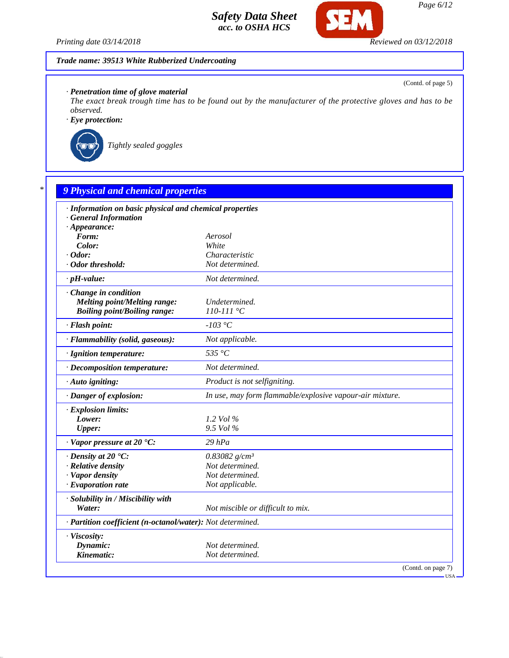

(Contd. of page 5)

*Printing date 03/14/2018 Reviewed on 03/12/2018*

# *Trade name: 39513 White Rubberized Undercoating*

*· Penetration time of glove material*

*The exact break trough time has to be found out by the manufacturer of the protective gloves and has to be observed.*

*· Eye protection:*



*Tightly sealed goggles*

| · Information on basic physical and chemical properties    |                                                          |
|------------------------------------------------------------|----------------------------------------------------------|
| <b>General Information</b>                                 |                                                          |
| $\cdot$ Appearance:                                        |                                                          |
| Form:                                                      | Aerosol                                                  |
| Color:                                                     | White                                                    |
| $\cdot$ Odor:                                              | Characteristic                                           |
| · Odor threshold:                                          | Not determined.                                          |
| $\cdot$ pH-value:                                          | Not determined.                                          |
| Change in condition                                        |                                                          |
| <b>Melting point/Melting range:</b>                        | Undetermined.                                            |
| <b>Boiling point/Boiling range:</b>                        | $110 - 111 °C$                                           |
| · Flash point:                                             | $-103$ °C                                                |
| · Flammability (solid, gaseous):                           | Not applicable.                                          |
| · Ignition temperature:                                    | 535 °C                                                   |
| · Decomposition temperature:                               | Not determined.                                          |
| · Auto igniting:                                           | Product is not selfigniting.                             |
| · Danger of explosion:                                     | In use, may form flammable/explosive vapour-air mixture. |
| · Explosion limits:                                        |                                                          |
| Lower:                                                     | 1.2 Vol %                                                |
| Upper:                                                     | 9.5 Vol %                                                |
| $\cdot$ Vapor pressure at 20 $\cdot$ C:                    | $29$ hPa                                                 |
| $\cdot$ Density at 20 $\textdegree$ C:                     | 0.83082 $g/cm^3$                                         |
| · Relative density                                         | Not determined.                                          |
| · Vapor density                                            | Not determined.                                          |
| $\cdot$ Evaporation rate                                   | Not applicable.                                          |
| · Solubility in / Miscibility with                         |                                                          |
| Water:                                                     | Not miscible or difficult to mix.                        |
| · Partition coefficient (n-octanol/water): Not determined. |                                                          |
| · Viscosity:                                               |                                                          |
| Dynamic:                                                   | Not determined.                                          |

USA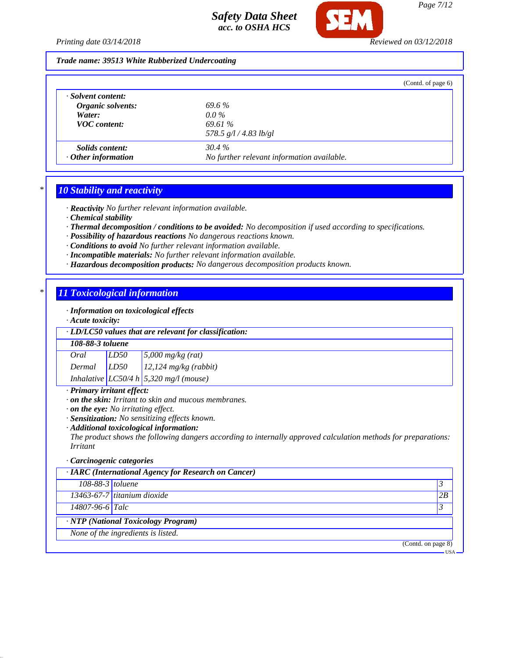

#### *Trade name: 39513 White Rubberized Undercoating*

|                           | (Contd. of page 6)                         |  |
|---------------------------|--------------------------------------------|--|
| · Solvent content:        |                                            |  |
| Organic solvents:         | 69.6%                                      |  |
| Water:                    | $0.0\%$                                    |  |
| <b>VOC</b> content:       | 69.61 %                                    |  |
|                           | 578.5 $g/l / 4.83$ lb/gl                   |  |
| <i>Solids content:</i>    | $30.4\%$                                   |  |
| $\cdot$ Other information | No further relevant information available. |  |

# *\* 10 Stability and reactivity*

*· Reactivity No further relevant information available.*

- *· Chemical stability*
- *· Thermal decomposition / conditions to be avoided: No decomposition if used according to specifications.*
- *· Possibility of hazardous reactions No dangerous reactions known.*
- *· Conditions to avoid No further relevant information available.*
- *· Incompatible materials: No further relevant information available.*
- *· Hazardous decomposition products: No dangerous decomposition products known.*

# *\* 11 Toxicological information*

*· Information on toxicological effects*

*· Acute toxicity:*

#### *· LD/LC50 values that are relevant for classification:*

#### *108-88-3 toluene*

*Oral LD50 5,000 mg/kg (rat) Dermal LD50 12,124 mg/kg (rabbit) Inhalative LC50/4 h 5,320 mg/l (mouse)*

#### *· Primary irritant effect:*

- *· on the skin: Irritant to skin and mucous membranes.*
- *· on the eye: No irritating effect.*
- *· Sensitization: No sensitizing effects known.*
- *· Additional toxicological information:*

*The product shows the following dangers according to internally approved calculation methods for preparations: Irritant*

#### *· Carcinogenic categories*

| · IARC (International Agency for Research on Cancer) |                                    |    |  |
|------------------------------------------------------|------------------------------------|----|--|
| $108-88-3$ toluene                                   |                                    | 3  |  |
|                                                      | $13463-67-7$ titanium dioxide      | 2B |  |
| 14807-96-6 Talc                                      |                                    | 3  |  |
| <b>NTP</b> (National Toxicology Program)             |                                    |    |  |
|                                                      | None of the ingredients is listed. |    |  |
| (Contd. on page 8)                                   |                                    |    |  |
| <b>USA</b>                                           |                                    |    |  |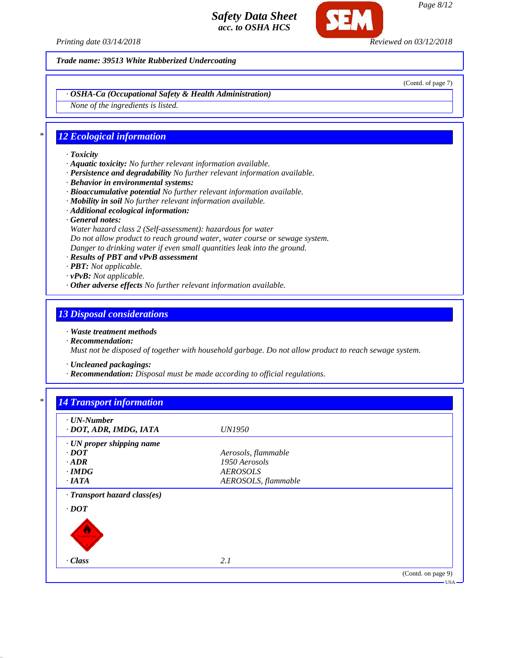

*Trade name: 39513 White Rubberized Undercoating*

(Contd. of page 7)

*· OSHA-Ca (Occupational Safety & Health Administration)*

*None of the ingredients is listed.*

# *\* 12 Ecological information*

- *· Toxicity*
- *· Aquatic toxicity: No further relevant information available.*
- *· Persistence and degradability No further relevant information available.*
- *· Behavior in environmental systems:*
- *· Bioaccumulative potential No further relevant information available.*
- *· Mobility in soil No further relevant information available.*
- *· Additional ecological information:*
- *· General notes:*
- *Water hazard class 2 (Self-assessment): hazardous for water*
- *Do not allow product to reach ground water, water course or sewage system.*
- *Danger to drinking water if even small quantities leak into the ground.*
- *· Results of PBT and vPvB assessment*
- *· PBT: Not applicable.*
- *· vPvB: Not applicable.*
- *· Other adverse effects No further relevant information available.*

#### *13 Disposal considerations*

- *· Waste treatment methods*
- *· Recommendation:*

*Must not be disposed of together with household garbage. Do not allow product to reach sewage system.*

*· Uncleaned packagings:*

*· Recommendation: Disposal must be made according to official regulations.*

# *\* 14 Transport information*

| $\cdot$ UN-Number            |                     |                    |
|------------------------------|---------------------|--------------------|
| · DOT, ADR, IMDG, IATA       | <i>UN1950</i>       |                    |
| · UN proper shipping name    |                     |                    |
| $\cdot$ <i>DOT</i>           | Aerosols, flammable |                    |
| $\cdot$ <i>ADR</i>           | 1950 Aerosols       |                    |
| $\cdot$ IMDG                 | <b>AEROSOLS</b>     |                    |
| $\cdot$ IATA                 | AEROSOLS, flammable |                    |
| · Transport hazard class(es) |                     |                    |
| $\cdot$ DOT                  |                     |                    |
| <b>SAMARET SAC</b>           |                     |                    |
| · Class                      | 2.1                 |                    |
|                              |                     | (Contd. on page 9) |

*Page 8/12*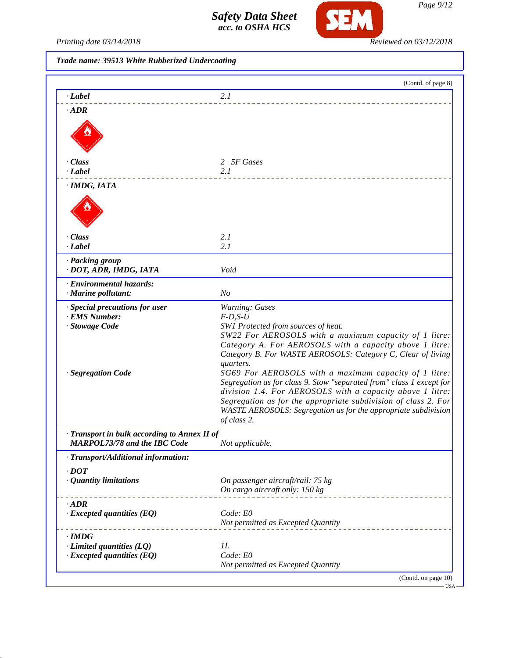

*Printing date 03/14/2018 Reviewed on 03/12/2018*

*Trade name: 39513 White Rubberized Undercoating*

| · Label                                         | 2.1                                                                                                                               |
|-------------------------------------------------|-----------------------------------------------------------------------------------------------------------------------------------|
| $\cdot$ ADR                                     |                                                                                                                                   |
|                                                 |                                                                                                                                   |
|                                                 |                                                                                                                                   |
|                                                 |                                                                                                                                   |
| · Class                                         | 2 5F Gases                                                                                                                        |
| · Label                                         | 2.1                                                                                                                               |
| · IMDG, IATA                                    |                                                                                                                                   |
|                                                 |                                                                                                                                   |
|                                                 |                                                                                                                                   |
|                                                 |                                                                                                                                   |
|                                                 |                                                                                                                                   |
| · Class                                         | 2.1                                                                                                                               |
| $\cdot$ <i>Label</i>                            | 2.1                                                                                                                               |
| · Packing group<br>· DOT, ADR, IMDG, IATA       | Void                                                                                                                              |
|                                                 |                                                                                                                                   |
| · Environmental hazards:<br>· Marine pollutant: | N <sub>O</sub>                                                                                                                    |
| · Special precautions for user                  | <b>Warning: Gases</b>                                                                                                             |
| · EMS Number:                                   | $F-D, S-U$                                                                                                                        |
| · Stowage Code                                  | SW1 Protected from sources of heat.                                                                                               |
|                                                 | SW22 For AEROSOLS with a maximum capacity of 1 litre:<br>Category A. For AEROSOLS with a capacity above 1 litre:                  |
|                                                 | Category B. For WASTE AEROSOLS: Category C, Clear of living                                                                       |
|                                                 | quarters.                                                                                                                         |
| · Segregation Code                              | SG69 For AEROSOLS with a maximum capacity of 1 litre:                                                                             |
|                                                 | Segregation as for class 9. Stow "separated from" class 1 except for<br>division 1.4. For AEROSOLS with a capacity above 1 litre: |
|                                                 | Segregation as for the appropriate subdivision of class 2. For                                                                    |
|                                                 | WASTE AEROSOLS: Segregation as for the appropriate subdivision                                                                    |
|                                                 | of class 2.                                                                                                                       |
| · Transport in bulk according to Annex II of    |                                                                                                                                   |
| <b>MARPOL73/78 and the IBC Code</b>             | Not applicable.                                                                                                                   |
| · Transport/Additional information:             |                                                                                                                                   |
| $\cdot$ DOT                                     |                                                                                                                                   |
| · Quantity limitations                          | On passenger aircraft/rail: 75 kg<br>On cargo aircraft only: 150 kg                                                               |
|                                                 |                                                                                                                                   |
| $\cdot$ ADR<br>$\cdot$ Excepted quantities (EQ) | Code: E0                                                                                                                          |
|                                                 | Not permitted as Excepted Quantity                                                                                                |
| $\cdot$ IMDG                                    |                                                                                                                                   |
| $\cdot$ Limited quantities (LQ)                 | 1L                                                                                                                                |
| $\cdot$ Excepted quantities (EQ)                | Code: E0                                                                                                                          |
|                                                 | Not permitted as Excepted Quantity                                                                                                |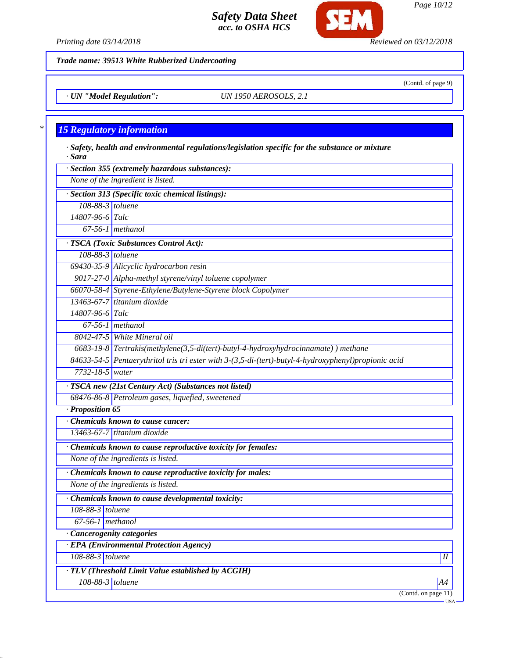

*Printing date 03/14/2018 Reviewed on 03/12/2018*

*Trade name: 39513 White Rubberized Undercoating*

*· UN "Model Regulation": UN 1950 AEROSOLS, 2.1*

# *\* 15 Regulatory information*

*· Safety, health and environmental regulations/legislation specific for the substance or mixture · Sara · Section 355 (extremely hazardous substances):*

*None of the ingredient is listed.*

*· Section 313 (Specific toxic chemical listings):*

*108-88-3 toluene*

*14807-96-6 Talc 67-56-1 methanol*

*· TSCA (Toxic Substances Control Act):*

*108-88-3 toluene*

*69430-35-9 Alicyclic hydrocarbon resin*

*9017-27-0 Alpha-methyl styrene/vinyl toluene copolymer 66070-58-4 Styrene-Ethylene/Butylene-Styrene block Copolymer*

*13463-67-7 titanium dioxide*

*14807-96-6 Talc 67-56-1 methanol*

*8042-47-5 White Mineral oil*

*6683-19-8 Tertrakis(methylene(3,5-di(tert)-butyl-4-hydroxyhydrocinnamate) ) methane*

*84633-54-5 Pentaerythritol tris tri ester with 3-(3,5-di-(tert)-butyl-4-hydroxyphenyl)propionic acid 7732-18-5 water*

*· TSCA new (21st Century Act) (Substances not listed)*

*68476-86-8 Petroleum gases, liquefied, sweetened*

*· Proposition 65*

*· Chemicals known to cause cancer:*

*13463-67-7 titanium dioxide*

*· Chemicals known to cause reproductive toxicity for females:*

*None of the ingredients is listed.*

*· Chemicals known to cause reproductive toxicity for males:*

*None of the ingredients is listed.*

*· Chemicals known to cause developmental toxicity:*

*108-88-3 toluene*

*67-56-1 methanol*

*· Cancerogenity categories*

*· EPA (Environmental Protection Agency)*

*108-88-3 toluene II*

*· TLV (Threshold Limit Value established by ACGIH)*

*108-88-3 toluene A4*

(Contd. on page 11)

(Contd. of page 9)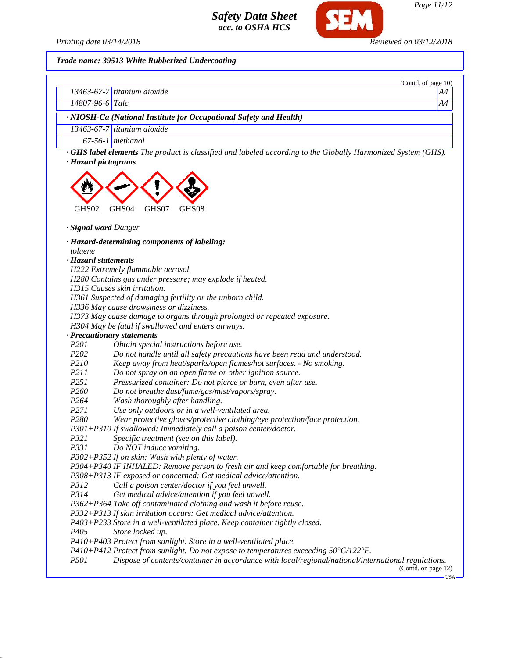

#### *Trade name: 39513 White Rubberized Undercoating*

|                                |                                                                                                                                                                                  | (Contd. of page 10) |
|--------------------------------|----------------------------------------------------------------------------------------------------------------------------------------------------------------------------------|---------------------|
|                                | 13463-67-7 titanium dioxide                                                                                                                                                      | A4                  |
| 14807-96-6 Talc                |                                                                                                                                                                                  | A4                  |
|                                | · NIOSH-Ca (National Institute for Occupational Safety and Health)                                                                                                               |                     |
|                                | $13463-67-7$ titanium dioxide                                                                                                                                                    |                     |
|                                | $67-56-1$ methanol                                                                                                                                                               |                     |
| GHS02                          | <b>GHS label elements</b> The product is classified and labeled according to the Globally Harmonized System (GHS).<br>· Hazard pictograms<br>GHS04<br>GHS07<br>GHS <sub>08</sub> |                     |
|                                | · Signal word Danger<br>· Hazard-determining components of labeling:                                                                                                             |                     |
| toluene<br>· Hazard statements |                                                                                                                                                                                  |                     |
|                                | H222 Extremely flammable aerosol.                                                                                                                                                |                     |
|                                | H280 Contains gas under pressure; may explode if heated.                                                                                                                         |                     |
|                                | H315 Causes skin irritation.                                                                                                                                                     |                     |
|                                | H361 Suspected of damaging fertility or the unborn child.                                                                                                                        |                     |
|                                | H336 May cause drowsiness or dizziness.                                                                                                                                          |                     |
|                                | H373 May cause damage to organs through prolonged or repeated exposure.                                                                                                          |                     |
|                                | H304 May be fatal if swallowed and enters airways.                                                                                                                               |                     |
| P201                           | · Precautionary statements                                                                                                                                                       |                     |
| P <sub>202</sub>               | Obtain special instructions before use.<br>Do not handle until all safety precautions have been read and understood.                                                             |                     |
| P <sub>210</sub>               | Keep away from heat/sparks/open flames/hot surfaces. - No smoking.                                                                                                               |                     |

*P211 Do not spray on an open flame or other ignition source.*

*P251 Pressurized container: Do not pierce or burn, even after use.*

*P260 Do not breathe dust/fume/gas/mist/vapors/spray.*

*P264 Wash thoroughly after handling.*

- *P271 Use only outdoors or in a well-ventilated area.*
- *P280 Wear protective gloves/protective clothing/eye protection/face protection.*

*P301+P310 If swallowed: Immediately call a poison center/doctor.*

- *P321 Specific treatment (see on this label).*
- *P331 Do NOT induce vomiting.*

*P302+P352 If on skin: Wash with plenty of water.*

*P304+P340 IF INHALED: Remove person to fresh air and keep comfortable for breathing.*

*P308+P313 IF exposed or concerned: Get medical advice/attention.*

*P312 Call a poison center/doctor if you feel unwell.*

*P314 Get medical advice/attention if you feel unwell.*

*P362+P364 Take off contaminated clothing and wash it before reuse.*

*P332+P313 If skin irritation occurs: Get medical advice/attention.*

*P403+P233 Store in a well-ventilated place. Keep container tightly closed.*

*P405 Store locked up.*

*P410+P403 Protect from sunlight. Store in a well-ventilated place.*

*P410+P412 Protect from sunlight. Do not expose to temperatures exceeding 50°C/122°F.*

*P501 Dispose of contents/container in accordance with local/regional/national/international regulations.*

(Contd. on page 12) USA